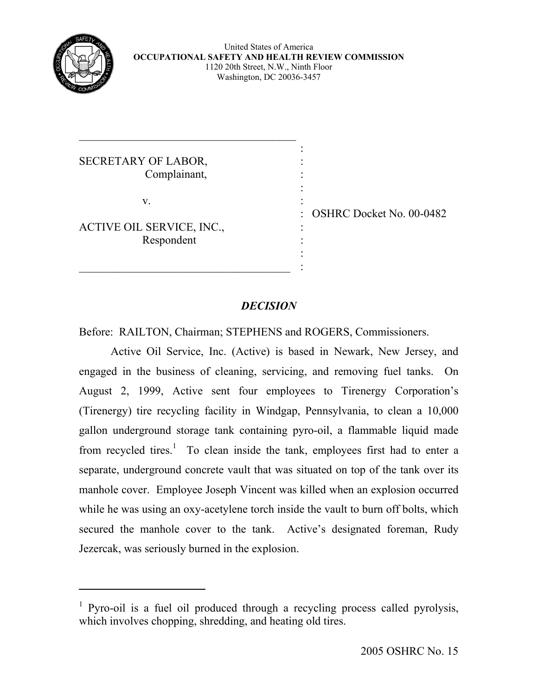

 $\overline{a}$ 

United States of America **OCCUPATIONAL SAFETY AND HEALTH REVIEW COMMISSION**  1120 20th Street, N.W., Ninth Floor Washington, DC 20036-3457

the contract of the contract of the contract of the contract of the contract of SECRETARY OF LABOR, Complainant,

\_\_\_\_\_\_\_\_\_\_\_\_\_\_\_\_\_\_\_\_\_\_\_\_\_\_\_\_\_\_\_\_\_\_\_\_\_\_

the contract of the contract of the contract of the contract of the contract of

 $\frac{1}{2}$  ,  $\frac{1}{2}$  ,  $\frac{1}{2}$  ,  $\frac{1}{2}$  ,  $\frac{1}{2}$  ,  $\frac{1}{2}$  ,  $\frac{1}{2}$  ,  $\frac{1}{2}$  ,  $\frac{1}{2}$  ,  $\frac{1}{2}$  ,  $\frac{1}{2}$  ,  $\frac{1}{2}$  ,  $\frac{1}{2}$  ,  $\frac{1}{2}$  ,  $\frac{1}{2}$  ,  $\frac{1}{2}$  ,  $\frac{1}{2}$  ,  $\frac{1}{2}$  ,  $\frac{1$ 

 $\mathbf{v}$ .  $\qquad \qquad$  :

ACTIVE OIL SERVICE, INC., Respondent

: OSHRC Docket No. 00-0482

# *DECISION*

:

Before: RAILTON, Chairman; STEPHENS and ROGERS, Commissioners.

 Active Oil Service, Inc. (Active) is based in Newark, New Jersey, and engaged in the business of cleaning, servicing, and removing fuel tanks. On August 2, 1999, Active sent four employees to Tirenergy Corporation's (Tirenergy) tire recycling facility in Windgap, Pennsylvania, to clean a 10,000 gallon underground storage tank containing pyro-oil, a flammable liquid made from recycled tires.<sup>[1](#page-0-0)</sup> To clean inside the tank, employees first had to enter a separate, underground concrete vault that was situated on top of the tank over its manhole cover. Employee Joseph Vincent was killed when an explosion occurred while he was using an oxy-acetylene torch inside the vault to burn off bolts, which secured the manhole cover to the tank. Active's designated foreman, Rudy Jezercak, was seriously burned in the explosion.

<span id="page-0-0"></span><sup>&</sup>lt;sup>1</sup> Pyro-oil is a fuel oil produced through a recycling process called pyrolysis, which involves chopping, shredding, and heating old tires.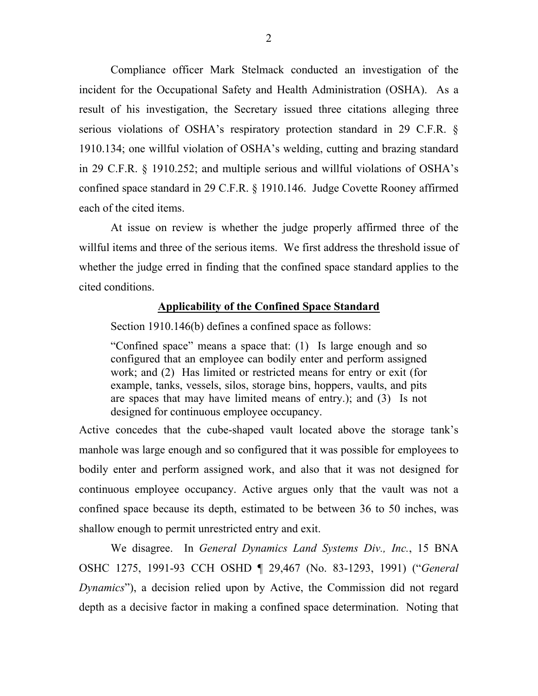Compliance officer Mark Stelmack conducted an investigation of the incident for the Occupational Safety and Health Administration (OSHA). As a result of his investigation, the Secretary issued three citations alleging three serious violations of OSHA's respiratory protection standard in 29 C.F.R. § 1910.134; one willful violation of OSHA's welding, cutting and brazing standard in 29 C.F.R. § 1910.252; and multiple serious and willful violations of OSHA's confined space standard in 29 C.F.R. § 1910.146. Judge Covette Rooney affirmed each of the cited items.

 At issue on review is whether the judge properly affirmed three of the willful items and three of the serious items. We first address the threshold issue of whether the judge erred in finding that the confined space standard applies to the cited conditions.

## **Applicability of the Confined Space Standard**

Section 1910.146(b) defines a confined space as follows:

"Confined space" means a space that: (1) Is large enough and so configured that an employee can bodily enter and perform assigned work; and (2) Has limited or restricted means for entry or exit (for example, tanks, vessels, silos, storage bins, hoppers, vaults, and pits are spaces that may have limited means of entry.); and (3) Is not designed for continuous employee occupancy.

Active concedes that the cube-shaped vault located above the storage tank's manhole was large enough and so configured that it was possible for employees to bodily enter and perform assigned work, and also that it was not designed for continuous employee occupancy. Active argues only that the vault was not a confined space because its depth, estimated to be between 36 to 50 inches, was shallow enough to permit unrestricted entry and exit.

 We disagree. In *General Dynamics Land Systems Div., Inc.*, 15 BNA OSHC 1275, 1991-93 CCH OSHD ¶ 29,467 (No. 83-1293, 1991) ("*General Dynamics*"), a decision relied upon by Active, the Commission did not regard depth as a decisive factor in making a confined space determination. Noting that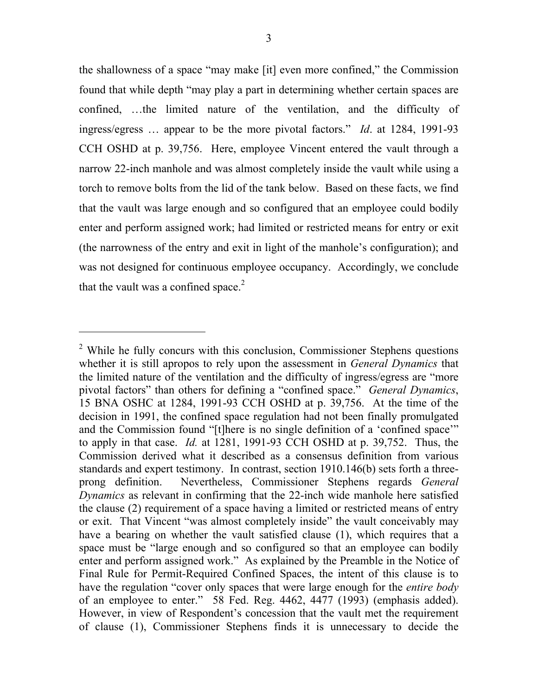the shallowness of a space "may make [it] even more confined," the Commission found that while depth "may play a part in determining whether certain spaces are confined, …the limited nature of the ventilation, and the difficulty of ingress/egress … appear to be the more pivotal factors." *Id*. at 1284, 1991-93 CCH OSHD at p. 39,756. Here, employee Vincent entered the vault through a narrow 22-inch manhole and was almost completely inside the vault while using a torch to remove bolts from the lid of the tank below. Based on these facts, we find that the vault was large enough and so configured that an employee could bodily enter and perform assigned work; had limited or restricted means for entry or exit (the narrowness of the entry and exit in light of the manhole's configuration); and was not designed for continuous employee occupancy. Accordingly, we conclude that the vault was a confined space. $2$ 

<span id="page-2-0"></span><sup>&</sup>lt;sup>2</sup> While he fully concurs with this conclusion, Commissioner Stephens questions whether it is still apropos to rely upon the assessment in *General Dynamics* that the limited nature of the ventilation and the difficulty of ingress/egress are "more pivotal factors" than others for defining a "confined space." *General Dynamics*, 15 BNA OSHC at 1284, 1991-93 CCH OSHD at p. 39,756. At the time of the decision in 1991, the confined space regulation had not been finally promulgated and the Commission found "[t]here is no single definition of a 'confined space'" to apply in that case. *Id.* at 1281, 1991-93 CCH OSHD at p. 39,752. Thus, the Commission derived what it described as a consensus definition from various standards and expert testimony. In contrast, section 1910.146(b) sets forth a threeprong definition. Nevertheless, Commissioner Stephens regards *General Dynamics* as relevant in confirming that the 22-inch wide manhole here satisfied the clause (2) requirement of a space having a limited or restricted means of entry or exit. That Vincent "was almost completely inside" the vault conceivably may have a bearing on whether the vault satisfied clause (1), which requires that a space must be "large enough and so configured so that an employee can bodily enter and perform assigned work." As explained by the Preamble in the Notice of Final Rule for Permit-Required Confined Spaces, the intent of this clause is to have the regulation "cover only spaces that were large enough for the *entire body* of an employee to enter." 58 Fed. Reg. 4462, 4477 (1993) (emphasis added). However, in view of Respondent's concession that the vault met the requirement of clause (1), Commissioner Stephens finds it is unnecessary to decide the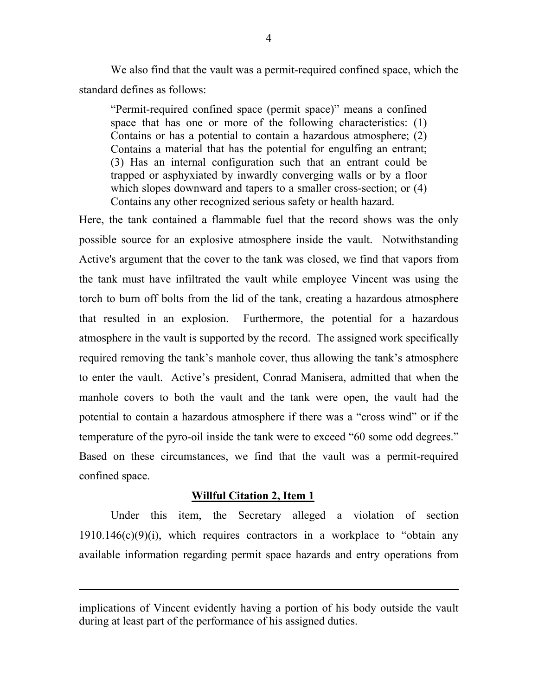We also find that the vault was a permit-required confined space, which the standard defines as follows:

"Permit-required confined space (permit space)" means a confined space that has one or more of the following characteristics: (1) Contains or has a potential to contain a hazardous atmosphere; (2) Contains a material that has the potential for engulfing an entrant; (3) Has an internal configuration such that an entrant could be trapped or asphyxiated by inwardly converging walls or by a floor which slopes downward and tapers to a smaller cross-section; or  $(4)$ Contains any other recognized serious safety or health hazard.

Here, the tank contained a flammable fuel that the record shows was the only possible source for an explosive atmosphere inside the vault. Notwithstanding Active's argument that the cover to the tank was closed, we find that vapors from the tank must have infiltrated the vault while employee Vincent was using the torch to burn off bolts from the lid of the tank, creating a hazardous atmosphere that resulted in an explosion. Furthermore, the potential for a hazardous atmosphere in the vault is supported by the record. The assigned work specifically required removing the tank's manhole cover, thus allowing the tank's atmosphere to enter the vault. Active's president, Conrad Manisera, admitted that when the manhole covers to both the vault and the tank were open, the vault had the potential to contain a hazardous atmosphere if there was a "cross wind" or if the temperature of the pyro-oil inside the tank were to exceed "60 some odd degrees." Based on these circumstances, we find that the vault was a permit-required confined space.

#### **Willful Citation 2, Item 1**

 $\overline{a}$ 

 Under this item, the Secretary alleged a violation of section  $1910.146(c)(9)(i)$ , which requires contractors in a workplace to "obtain any available information regarding permit space hazards and entry operations from

implications of Vincent evidently having a portion of his body outside the vault during at least part of the performance of his assigned duties.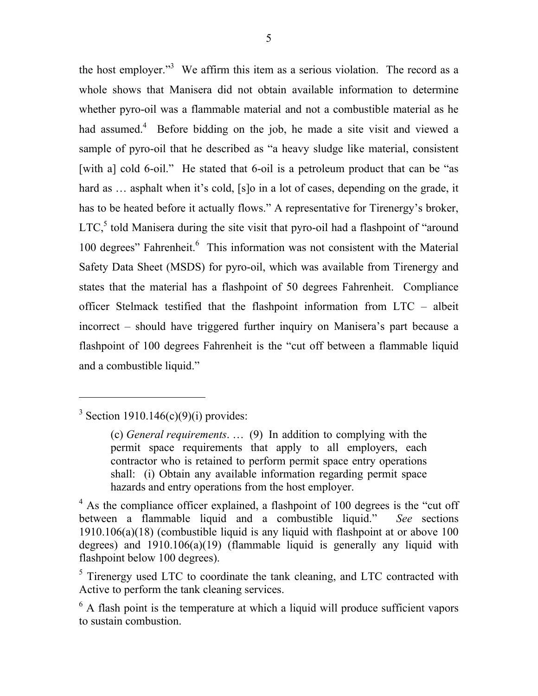the host employer."<sup>3</sup> We affirm this item as a serious violation. The record as a whole shows that Manisera did not obtain available information to determine whether pyro-oil was a flammable material and not a combustible material as he had assumed.<sup>[4](#page-4-1)</sup> Before bidding on the job, he made a site visit and viewed a sample of pyro-oil that he described as "a heavy sludge like material, consistent [with a] cold 6-oil." He stated that 6-oil is a petroleum product that can be "as hard as ... asphalt when it's cold, [s]o in a lot of cases, depending on the grade, it has to be heated before it actually flows." A representative for Tirenergy's broker, LTC,<sup>[5](#page-4-2)</sup> told Manisera during the site visit that pyro-oil had a flashpoint of "around 100 degrees" Fahrenheit.<sup>[6](#page-4-3)</sup> This information was not consistent with the Material Safety Data Sheet (MSDS) for pyro-oil, which was available from Tirenergy and states that the material has a flashpoint of 50 degrees Fahrenheit. Compliance officer Stelmack testified that the flashpoint information from LTC – albeit incorrect – should have triggered further inquiry on Manisera's part because a flashpoint of 100 degrees Fahrenheit is the "cut off between a flammable liquid and a combustible liquid."

<span id="page-4-0"></span><sup>&</sup>lt;sup>3</sup> Section 1910.146(c)(9)(i) provides:

<sup>(</sup>c) *General requirements*. … (9) In addition to complying with the permit space requirements that apply to all employers, each contractor who is retained to perform permit space entry operations shall: (i) Obtain any available information regarding permit space hazards and entry operations from the host employer.

<span id="page-4-1"></span><sup>&</sup>lt;sup>4</sup> As the compliance officer explained, a flashpoint of 100 degrees is the "cut off between a flammable liquid and a combustible liquid." *See* sections 1910.106(a)(18) (combustible liquid is any liquid with flashpoint at or above 100 degrees) and 1910.106(a)(19) (flammable liquid is generally any liquid with flashpoint below 100 degrees).

<span id="page-4-2"></span><sup>&</sup>lt;sup>5</sup> Tirenergy used LTC to coordinate the tank cleaning, and LTC contracted with Active to perform the tank cleaning services.

<span id="page-4-3"></span> $6$  A flash point is the temperature at which a liquid will produce sufficient vapors to sustain combustion.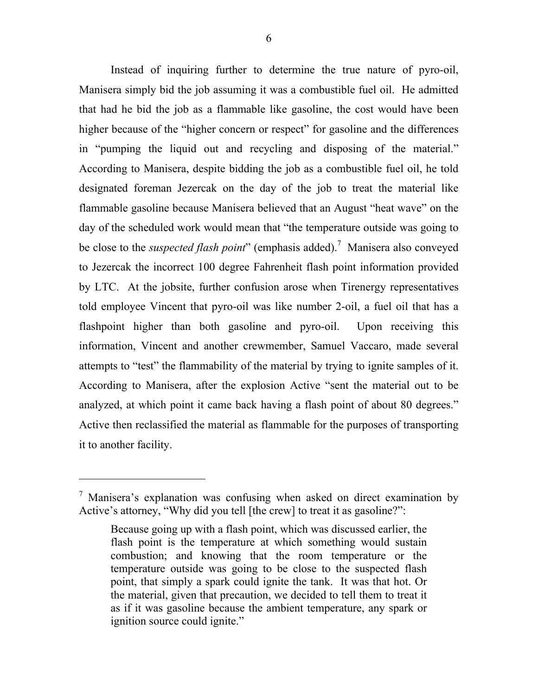Instead of inquiring further to determine the true nature of pyro-oil, Manisera simply bid the job assuming it was a combustible fuel oil. He admitted that had he bid the job as a flammable like gasoline, the cost would have been higher because of the "higher concern or respect" for gasoline and the differences in "pumping the liquid out and recycling and disposing of the material." According to Manisera, despite bidding the job as a combustible fuel oil, he told designated foreman Jezercak on the day of the job to treat the material like flammable gasoline because Manisera believed that an August "heat wave" on the day of the scheduled work would mean that "the temperature outside was going to be close to the *suspected flash point*" (emphasis added).[7](#page-5-0) Manisera also conveyed to Jezercak the incorrect 100 degree Fahrenheit flash point information provided by LTC. At the jobsite, further confusion arose when Tirenergy representatives told employee Vincent that pyro-oil was like number 2-oil, a fuel oil that has a flashpoint higher than both gasoline and pyro-oil. Upon receiving this information, Vincent and another crewmember, Samuel Vaccaro, made several attempts to "test" the flammability of the material by trying to ignite samples of it. According to Manisera, after the explosion Active "sent the material out to be analyzed, at which point it came back having a flash point of about 80 degrees." Active then reclassified the material as flammable for the purposes of transporting it to another facility.

-

<span id="page-5-0"></span> $^7$  Manisera's explanation was confusing when asked on direct examination by Active's attorney, "Why did you tell [the crew] to treat it as gasoline?":

Because going up with a flash point, which was discussed earlier, the flash point is the temperature at which something would sustain combustion; and knowing that the room temperature or the temperature outside was going to be close to the suspected flash point, that simply a spark could ignite the tank. It was that hot. Or the material, given that precaution, we decided to tell them to treat it as if it was gasoline because the ambient temperature, any spark or ignition source could ignite."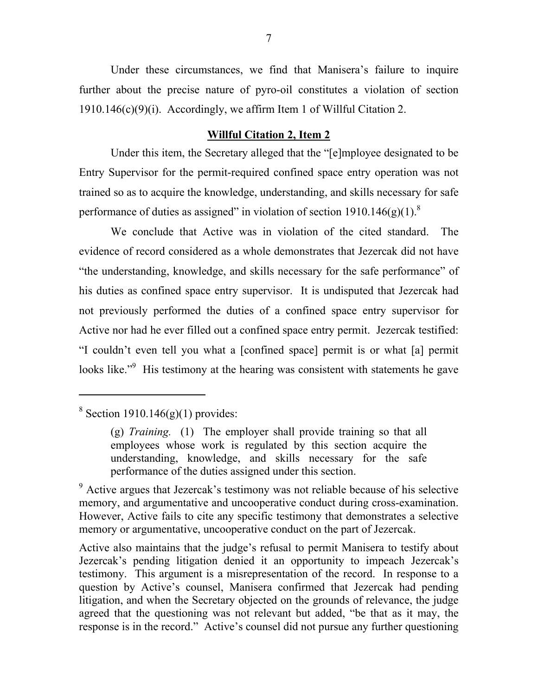Under these circumstances, we find that Manisera's failure to inquire further about the precise nature of pyro-oil constitutes a violation of section 1910.146(c)(9)(i). Accordingly, we affirm Item 1 of Willful Citation 2.

## **Willful Citation 2, Item 2**

Under this item, the Secretary alleged that the "[e]mployee designated to be Entry Supervisor for the permit-required confined space entry operation was not trained so as to acquire the knowledge, understanding, and skills necessary for safe performance of duties as assigned" in violation of section  $1910.146(g)(1)^8$ 

 We conclude that Active was in violation of the cited standard. The evidence of record considered as a whole demonstrates that Jezercak did not have "the understanding, knowledge, and skills necessary for the safe performance" of his duties as confined space entry supervisor. It is undisputed that Jezercak had not previously performed the duties of a confined space entry supervisor for Active nor had he ever filled out a confined space entry permit. Jezercak testified: "I couldn't even tell you what a [confined space] permit is or what [a] permit looks like."<sup>[9](#page-6-1)</sup> His testimony at the hearing was consistent with statements he gave

<span id="page-6-0"></span> $8$  Section 1910.146(g)(1) provides:

<sup>(</sup>g) *Training.* (1) The employer shall provide training so that all employees whose work is regulated by this section acquire the understanding, knowledge, and skills necessary for the safe performance of the duties assigned under this section.

<span id="page-6-1"></span><sup>&</sup>lt;sup>9</sup> Active argues that Jezercak's testimony was not reliable because of his selective memory, and argumentative and uncooperative conduct during cross-examination. However, Active fails to cite any specific testimony that demonstrates a selective memory or argumentative, uncooperative conduct on the part of Jezercak.

Active also maintains that the judge's refusal to permit Manisera to testify about Jezercak's pending litigation denied it an opportunity to impeach Jezercak's testimony. This argument is a misrepresentation of the record. In response to a question by Active's counsel, Manisera confirmed that Jezercak had pending litigation, and when the Secretary objected on the grounds of relevance, the judge agreed that the questioning was not relevant but added, "be that as it may, the response is in the record." Active's counsel did not pursue any further questioning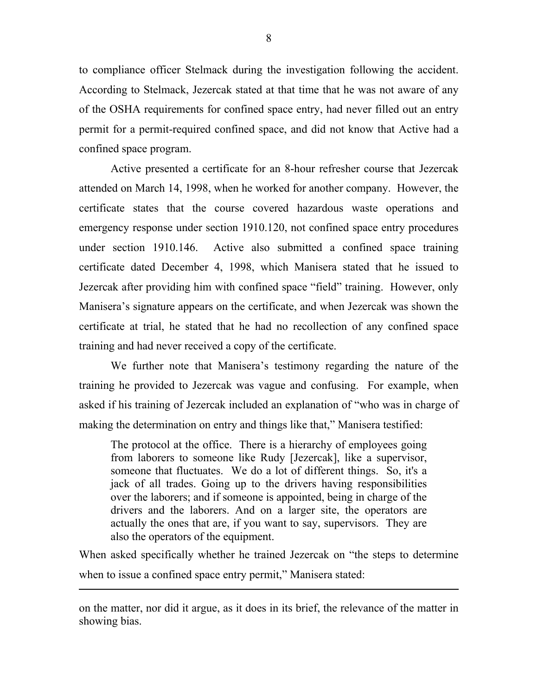to compliance officer Stelmack during the investigation following the accident. According to Stelmack, Jezercak stated at that time that he was not aware of any of the OSHA requirements for confined space entry, had never filled out an entry permit for a permit-required confined space, and did not know that Active had a confined space program.

 Active presented a certificate for an 8-hour refresher course that Jezercak attended on March 14, 1998, when he worked for another company. However, the certificate states that the course covered hazardous waste operations and emergency response under section 1910.120, not confined space entry procedures under section 1910.146. Active also submitted a confined space training certificate dated December 4, 1998, which Manisera stated that he issued to Jezercak after providing him with confined space "field" training. However, only Manisera's signature appears on the certificate, and when Jezercak was shown the certificate at trial, he stated that he had no recollection of any confined space training and had never received a copy of the certificate.

We further note that Manisera's testimony regarding the nature of the training he provided to Jezercak was vague and confusing. For example, when asked if his training of Jezercak included an explanation of "who was in charge of making the determination on entry and things like that," Manisera testified:

The protocol at the office. There is a hierarchy of employees going from laborers to someone like Rudy [Jezercak], like a supervisor, someone that fluctuates. We do a lot of different things. So, it's a jack of all trades. Going up to the drivers having responsibilities over the laborers; and if someone is appointed, being in charge of the drivers and the laborers. And on a larger site, the operators are actually the ones that are, if you want to say, supervisors. They are also the operators of the equipment.

When asked specifically whether he trained Jezercak on "the steps to determine when to issue a confined space entry permit," Manisera stated:

on the matter, nor did it argue, as it does in its brief, the relevance of the matter in showing bias.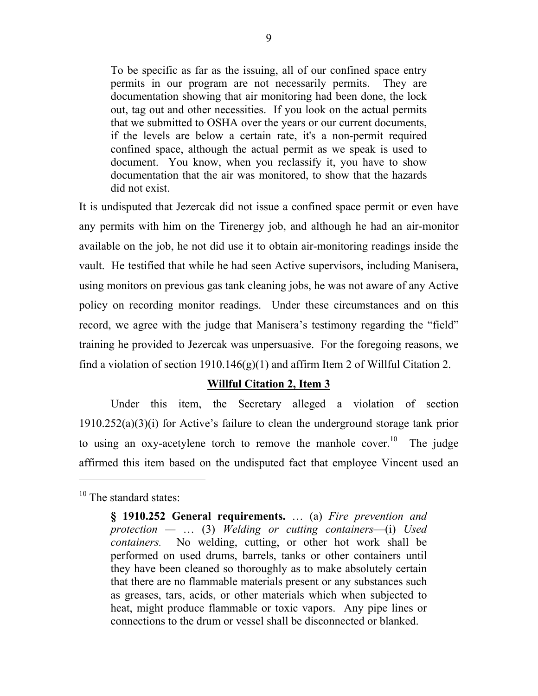To be specific as far as the issuing, all of our confined space entry permits in our program are not necessarily permits. They are documentation showing that air monitoring had been done, the lock out, tag out and other necessities. If you look on the actual permits that we submitted to OSHA over the years or our current documents, if the levels are below a certain rate, it's a non-permit required confined space, although the actual permit as we speak is used to document. You know, when you reclassify it, you have to show documentation that the air was monitored, to show that the hazards did not exist.

It is undisputed that Jezercak did not issue a confined space permit or even have any permits with him on the Tirenergy job, and although he had an air-monitor available on the job, he not did use it to obtain air-monitoring readings inside the vault. He testified that while he had seen Active supervisors, including Manisera, using monitors on previous gas tank cleaning jobs, he was not aware of any Active policy on recording monitor readings. Under these circumstances and on this record, we agree with the judge that Manisera's testimony regarding the "field" training he provided to Jezercak was unpersuasive. For the foregoing reasons, we find a violation of section 1910.146 $(g)(1)$  and affirm Item 2 of Willful Citation 2.

## **Willful Citation 2, Item 3**

 Under this item, the Secretary alleged a violation of section 1910.252(a)(3)(i) for Active's failure to clean the underground storage tank prior to using an oxy-acetylene torch to remove the manhole cover.<sup>10</sup> The judge affirmed this item based on the undisputed fact that employee Vincent used an

-

<span id="page-8-0"></span> $10$  The standard states:

**<sup>§ 1910.252</sup> General requirements.** … (a) *Fire prevention and protection —* … (3) *Welding or cutting containers*—(i) *Used containers.* No welding, cutting, or other hot work shall be performed on used drums, barrels, tanks or other containers until they have been cleaned so thoroughly as to make absolutely certain that there are no flammable materials present or any substances such as greases, tars, acids, or other materials which when subjected to heat, might produce flammable or toxic vapors. Any pipe lines or connections to the drum or vessel shall be disconnected or blanked.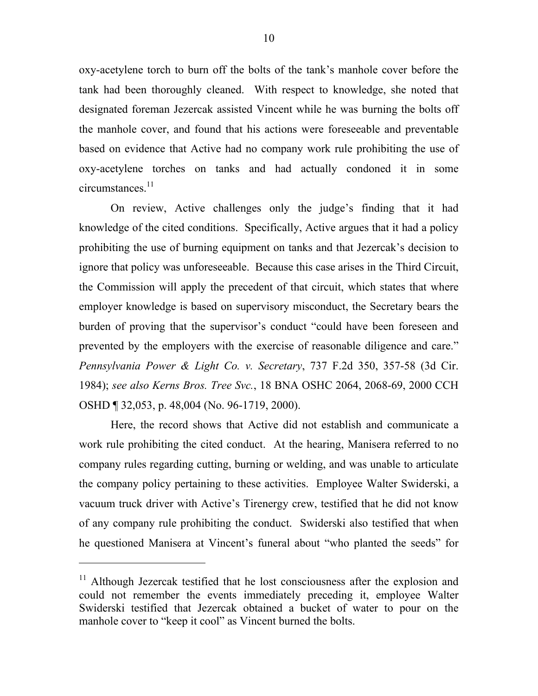oxy-acetylene torch to burn off the bolts of the tank's manhole cover before the tank had been thoroughly cleaned. With respect to knowledge, she noted that designated foreman Jezercak assisted Vincent while he was burning the bolts off the manhole cover, and found that his actions were foreseeable and preventable based on evidence that Active had no company work rule prohibiting the use of oxy-acetylene torches on tanks and had actually condoned it in some  $circumstances.<sup>11</sup>$ 

 On review, Active challenges only the judge's finding that it had knowledge of the cited conditions. Specifically, Active argues that it had a policy prohibiting the use of burning equipment on tanks and that Jezercak's decision to ignore that policy was unforeseeable. Because this case arises in the Third Circuit, the Commission will apply the precedent of that circuit, which states that where employer knowledge is based on supervisory misconduct, the Secretary bears the burden of proving that the supervisor's conduct "could have been foreseen and prevented by the employers with the exercise of reasonable diligence and care." *Pennsylvania Power & Light Co. v. Secretary*, 737 F.2d 350, 357-58 (3d Cir. 1984); *see also Kerns Bros. Tree Svc.*, 18 BNA OSHC 2064, 2068-69, 2000 CCH OSHD ¶ 32,053, p. 48,004 (No. 96-1719, 2000).

 Here, the record shows that Active did not establish and communicate a work rule prohibiting the cited conduct. At the hearing, Manisera referred to no company rules regarding cutting, burning or welding, and was unable to articulate the company policy pertaining to these activities. Employee Walter Swiderski, a vacuum truck driver with Active's Tirenergy crew, testified that he did not know of any company rule prohibiting the conduct. Swiderski also testified that when he questioned Manisera at Vincent's funeral about "who planted the seeds" for

<span id="page-9-0"></span> $11$  Although Jezercak testified that he lost consciousness after the explosion and could not remember the events immediately preceding it, employee Walter Swiderski testified that Jezercak obtained a bucket of water to pour on the manhole cover to "keep it cool" as Vincent burned the bolts.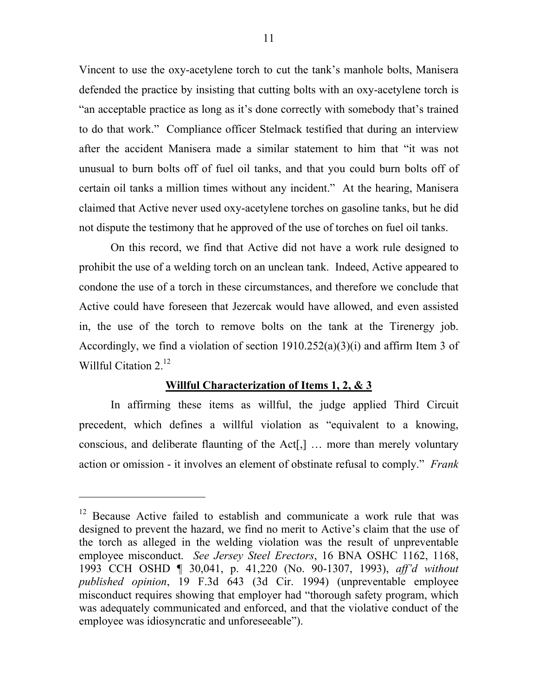Vincent to use the oxy-acetylene torch to cut the tank's manhole bolts, Manisera defended the practice by insisting that cutting bolts with an oxy-acetylene torch is "an acceptable practice as long as it's done correctly with somebody that's trained to do that work." Compliance officer Stelmack testified that during an interview after the accident Manisera made a similar statement to him that "it was not unusual to burn bolts off of fuel oil tanks, and that you could burn bolts off of certain oil tanks a million times without any incident." At the hearing, Manisera claimed that Active never used oxy-acetylene torches on gasoline tanks, but he did not dispute the testimony that he approved of the use of torches on fuel oil tanks.

 On this record, we find that Active did not have a work rule designed to prohibit the use of a welding torch on an unclean tank. Indeed, Active appeared to condone the use of a torch in these circumstances, and therefore we conclude that Active could have foreseen that Jezercak would have allowed, and even assisted in, the use of the torch to remove bolts on the tank at the Tirenergy job. Accordingly, we find a violation of section 1910.252(a)(3)(i) and affirm Item 3 of Willful Citation 2.<sup>[12](#page-10-0)</sup>

### **Willful Characterization of Items 1, 2, & 3**

 In affirming these items as willful, the judge applied Third Circuit precedent, which defines a willful violation as "equivalent to a knowing, conscious, and deliberate flaunting of the Act[,] … more than merely voluntary action or omission - it involves an element of obstinate refusal to comply." *Frank* 

-

<span id="page-10-0"></span><sup>&</sup>lt;sup>12</sup> Because Active failed to establish and communicate a work rule that was designed to prevent the hazard, we find no merit to Active's claim that the use of the torch as alleged in the welding violation was the result of unpreventable employee misconduct. *See Jersey Steel Erectors*, 16 BNA OSHC 1162, 1168, 1993 CCH OSHD ¶ 30,041, p. 41,220 (No. 90-1307, 1993), *aff'd without published opinion*, 19 F.3d 643 (3d Cir. 1994) (unpreventable employee misconduct requires showing that employer had "thorough safety program, which was adequately communicated and enforced, and that the violative conduct of the employee was idiosyncratic and unforeseeable").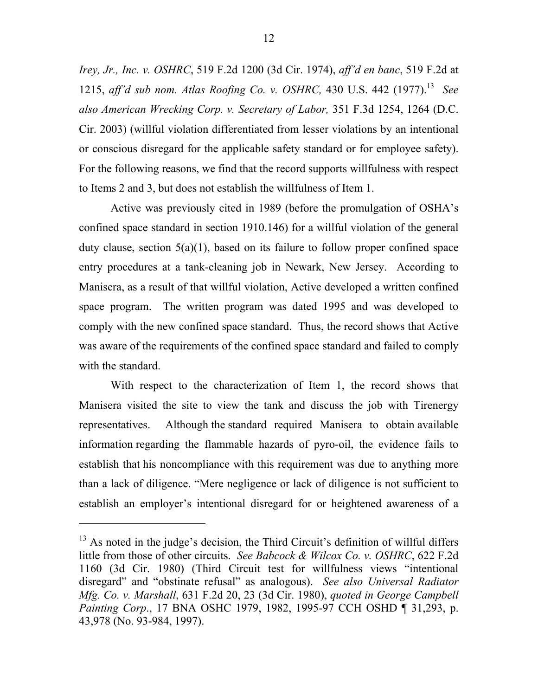*Irey, Jr., Inc. v. OSHRC*, 519 F.2d 1200 (3d Cir. 1974), *aff'd en banc*, 519 F.2d at 1215, *aff'd sub nom. Atlas Roofing Co. v. OSHRC,* 430 U.S. 442 (1977).[13](#page-11-0) *See also American Wrecking Corp. v. Secretary of Labor,* 351 F.3d 1254, 1264 (D.C. Cir. 2003) (willful violation differentiated from lesser violations by an intentional or conscious disregard for the applicable safety standard or for employee safety). For the following reasons, we find that the record supports willfulness with respect to Items 2 and 3, but does not establish the willfulness of Item 1.

Active was previously cited in 1989 (before the promulgation of OSHA's confined space standard in section 1910.146) for a willful violation of the general duty clause, section  $5(a)(1)$ , based on its failure to follow proper confined space entry procedures at a tank-cleaning job in Newark, New Jersey. According to Manisera, as a result of that willful violation, Active developed a written confined space program. The written program was dated 1995 and was developed to comply with the new confined space standard. Thus, the record shows that Active was aware of the requirements of the confined space standard and failed to comply with the standard.

With respect to the characterization of Item 1, the record shows that Manisera visited the site to view the tank and discuss the job with Tirenergy representatives. Although the standard required Manisera to obtain available information regarding the flammable hazards of pyro-oil, the evidence fails to establish that his noncompliance with this requirement was due to anything more than a lack of diligence. "Mere negligence or lack of diligence is not sufficient to establish an employer's intentional disregard for or heightened awareness of a

<span id="page-11-0"></span><sup>&</sup>lt;sup>13</sup> As noted in the judge's decision, the Third Circuit's definition of willful differs little from those of other circuits. *See Babcock & Wilcox Co. v. OSHRC*, 622 F.2d 1160 (3d Cir. 1980) (Third Circuit test for willfulness views "intentional disregard" and "obstinate refusal" as analogous). *See also Universal Radiator Mfg. Co. v. Marshall*, 631 F.2d 20, 23 (3d Cir. 1980), *quoted in George Campbell Painting Corp*., 17 BNA OSHC 1979, 1982, 1995-97 CCH OSHD ¶ 31,293, p. 43,978 (No. 93-984, 1997).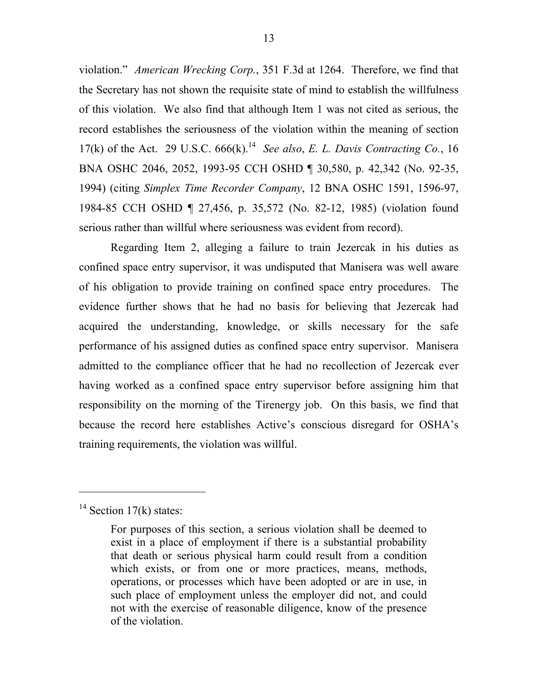violation." *American Wrecking Corp.*, 351 F.3d at 1264. Therefore, we find that the Secretary has not shown the requisite state of mind to establish the willfulness of this violation. We also find that although Item 1 was not cited as serious, the record establishes the seriousness of the violation within the meaning of section 17(k) of the Act. 29 U.S.C.  $666(k)$ <sup>14</sup> *See also, E. L. Davis Contracting Co.*, 16 BNA OSHC 2046, 2052, 1993-95 CCH OSHD ¶ 30,580, p. 42,342 (No. 92-35, 1994) (citing *Simplex Time Recorder Company*, 12 BNA OSHC 1591, 1596-97, 1984-85 CCH OSHD ¶ 27,456, p. 35,572 (No. 82-12, 1985) (violation found serious rather than willful where seriousness was evident from record).

Regarding Item 2, alleging a failure to train Jezercak in his duties as confined space entry supervisor, it was undisputed that Manisera was well aware of his obligation to provide training on confined space entry procedures. The evidence further shows that he had no basis for believing that Jezercak had acquired the understanding, knowledge, or skills necessary for the safe performance of his assigned duties as confined space entry supervisor. Manisera admitted to the compliance officer that he had no recollection of Jezercak ever having worked as a confined space entry supervisor before assigning him that responsibility on the morning of the Tirenergy job. On this basis, we find that because the record here establishes Active's conscious disregard for OSHA's training requirements, the violation was willful.

-

<span id="page-12-0"></span> $14$  Section 17(k) states:

For purposes of this section, a serious violation shall be deemed to exist in a place of employment if there is a substantial probability that death or serious physical harm could result from a condition which exists, or from one or more practices, means, methods, operations, or processes which have been adopted or are in use, in such place of employment unless the employer did not, and could not with the exercise of reasonable diligence, know of the presence of the violation.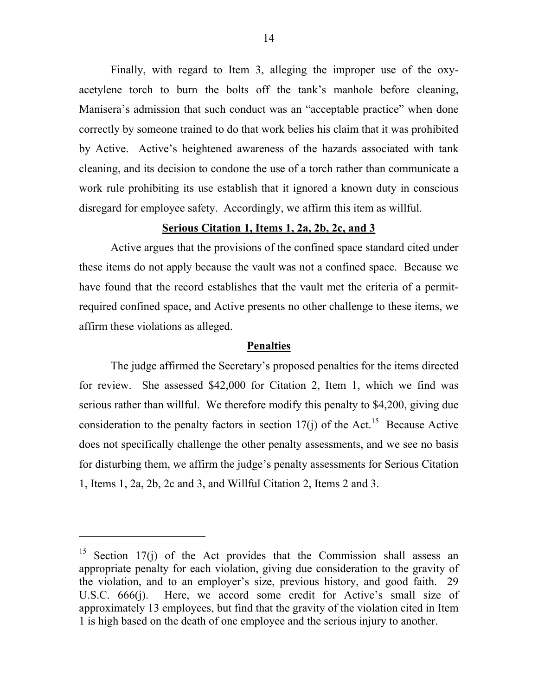Finally, with regard to Item 3, alleging the improper use of the oxyacetylene torch to burn the bolts off the tank's manhole before cleaning, Manisera's admission that such conduct was an "acceptable practice" when done correctly by someone trained to do that work belies his claim that it was prohibited by Active. Active's heightened awareness of the hazards associated with tank cleaning, and its decision to condone the use of a torch rather than communicate a work rule prohibiting its use establish that it ignored a known duty in conscious disregard for employee safety. Accordingly, we affirm this item as willful.

## **Serious Citation 1, Items 1, 2a, 2b, 2c, and 3**

 Active argues that the provisions of the confined space standard cited under these items do not apply because the vault was not a confined space. Because we have found that the record establishes that the vault met the criteria of a permitrequired confined space, and Active presents no other challenge to these items, we affirm these violations as alleged.

## **Penalties**

 The judge affirmed the Secretary's proposed penalties for the items directed for review. She assessed \$42,000 for Citation 2, Item 1, which we find was serious rather than willful. We therefore modify this penalty to \$4,200, giving due consideration to the penalty factors in section  $17(i)$  of the Act.<sup>15</sup> Because Active does not specifically challenge the other penalty assessments, and we see no basis for disturbing them, we affirm the judge's penalty assessments for Serious Citation 1, Items 1, 2a, 2b, 2c and 3, and Willful Citation 2, Items 2 and 3.

<span id="page-13-0"></span><sup>&</sup>lt;sup>15</sup> Section 17(j) of the Act provides that the Commission shall assess an appropriate penalty for each violation, giving due consideration to the gravity of the violation, and to an employer's size, previous history, and good faith. 29 U.S.C. 666(j). Here, we accord some credit for Active's small size of approximately 13 employees, but find that the gravity of the violation cited in Item 1 is high based on the death of one employee and the serious injury to another.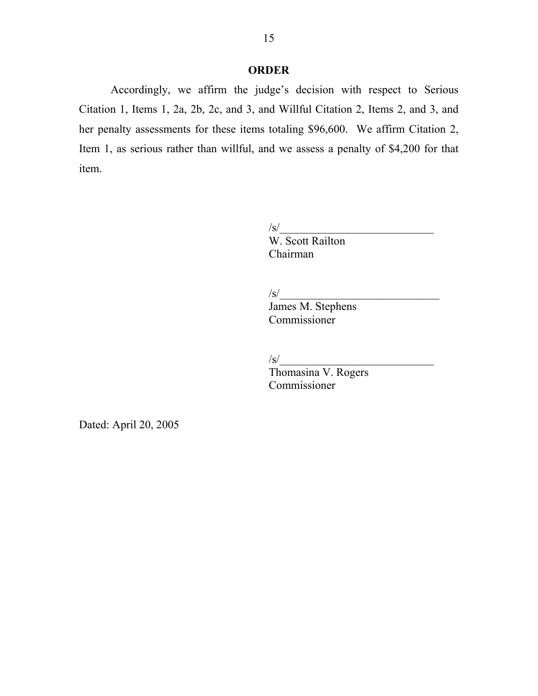## **ORDER**

 Accordingly, we affirm the judge's decision with respect to Serious Citation 1, Items 1, 2a, 2b, 2c, and 3, and Willful Citation 2, Items 2, and 3, and her penalty assessments for these items totaling \$96,600. We affirm Citation 2, Item 1, as serious rather than willful, and we assess a penalty of \$4,200 for that item.

 $\sqrt{s}$ /

W. Scott Railton Chairman

 $\sqrt{s/2}$ 

 James M. Stephens Commissioner

 $\sqrt{s}$ 

 Thomasina V. Rogers Commissioner

Dated: April 20, 2005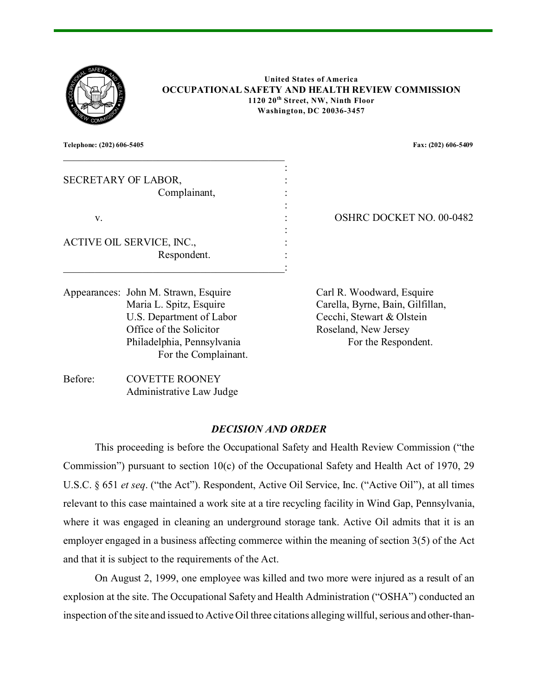

**United States of America OCCUPATIONAL SAFETY AND HEALTH REVIEW COMMISSION 1120 20th Street, NW, Ninth Floor Washington, DC 20036-3457**

**Telephone: (202) 606-5405 Fax: (202) 606-5409**

| SECRETARY OF LABOR,              |  |
|----------------------------------|--|
| Complainant,                     |  |
|                                  |  |
| V.                               |  |
|                                  |  |
| <b>ACTIVE OIL SERVICE, INC.,</b> |  |
| Respondent.                      |  |
|                                  |  |
|                                  |  |

Appearances: John M. Strawn, Esquire Carl R. Woodward, Esquire U.S. Department of Labor Cecchi, Stewart & Olstein Office of the Solicitor Roseland, New Jersey Philadelphia, Pennsylvania For the Respondent. For the Complainant.

OSHRC DOCKET NO. 00-0482

Maria L. Spitz, Esquire Carella, Byrne, Bain, Gilfillan,

Before: COVETTE ROONEY Administrative Law Judge

### *DECISION AND ORDER*

This proceeding is before the Occupational Safety and Health Review Commission ("the Commission") pursuant to section 10(c) of the Occupational Safety and Health Act of 1970, 29 U.S.C. § 651 *et seq*. ("the Act"). Respondent, Active Oil Service, Inc. ("Active Oil"), at all times relevant to this case maintained a work site at a tire recycling facility in Wind Gap, Pennsylvania, where it was engaged in cleaning an underground storage tank. Active Oil admits that it is an employer engaged in a business affecting commerce within the meaning of section 3(5) of the Act and that it is subject to the requirements of the Act.

On August 2, 1999, one employee was killed and two more were injured as a result of an explosion at the site. The Occupational Safety and Health Administration ("OSHA") conducted an inspection of the site and issued to Active Oil three citations alleging willful, serious and other-than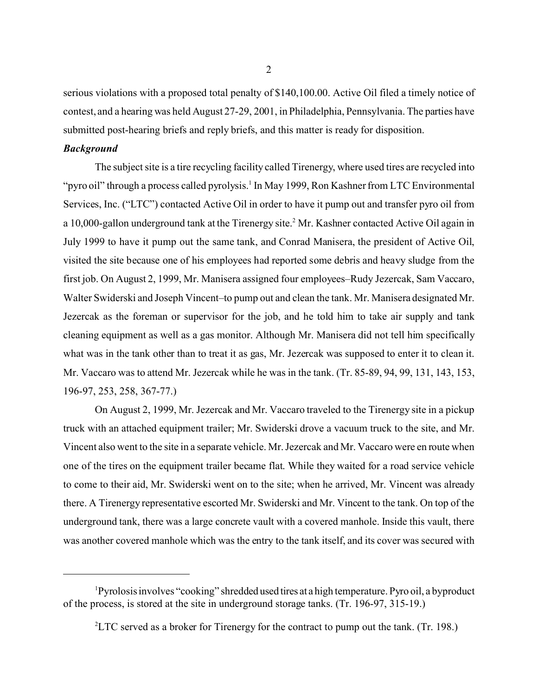serious violations with a proposed total penalty of \$140,100.00. Active Oil filed a timely notice of contest, and a hearing was held August 27-29, 2001, in Philadelphia, Pennsylvania. The parties have submitted post-hearing briefs and reply briefs, and this matter is ready for disposition.

#### *Background*

The subject site is a tire recycling facility called Tirenergy, where used tires are recycled into "pyro oil" through a process called pyrolysis.<sup>1</sup> In May 1999, Ron Kashner from LTC Environmental Services, Inc. ("LTC") contacted Active Oil in order to have it pump out and transfer pyro oil from a 10,000-gallon underground tank at the Tirenergy site.<sup>2</sup> Mr. Kashner contacted Active Oil again in July 1999 to have it pump out the same tank, and Conrad Manisera, the president of Active Oil, visited the site because one of his employees had reported some debris and heavy sludge from the first job. On August 2, 1999, Mr. Manisera assigned four employees–Rudy Jezercak, Sam Vaccaro, Walter Swiderski and Joseph Vincent–to pump out and clean the tank. Mr. Manisera designated Mr. Jezercak as the foreman or supervisor for the job, and he told him to take air supply and tank cleaning equipment as well as a gas monitor. Although Mr. Manisera did not tell him specifically what was in the tank other than to treat it as gas, Mr. Jezercak was supposed to enter it to clean it. Mr. Vaccaro was to attend Mr. Jezercak while he was in the tank. (Tr. 85-89, 94, 99, 131, 143, 153, 196-97, 253, 258, 367-77.)

On August 2, 1999, Mr. Jezercak and Mr. Vaccaro traveled to the Tirenergy site in a pickup truck with an attached equipment trailer; Mr. Swiderski drove a vacuum truck to the site, and Mr. Vincent also went to the site in a separate vehicle. Mr. Jezercak and Mr. Vaccaro were en route when one of the tires on the equipment trailer became flat. While they waited for a road service vehicle to come to their aid, Mr. Swiderski went on to the site; when he arrived, Mr. Vincent was already there. A Tirenergy representative escorted Mr. Swiderski and Mr. Vincent to the tank. On top of the underground tank, there was a large concrete vault with a covered manhole. Inside this vault, there was another covered manhole which was the entry to the tank itself, and its cover was secured with

<sup>&</sup>lt;sup>1</sup>Pyrolosis involves "cooking" shredded used tires at a high temperature. Pyro oil, a byproduct of the process, is stored at the site in underground storage tanks. (Tr. 196-97, 315-19.)

 ${}^{2}$ LTC served as a broker for Tirenergy for the contract to pump out the tank. (Tr. 198.)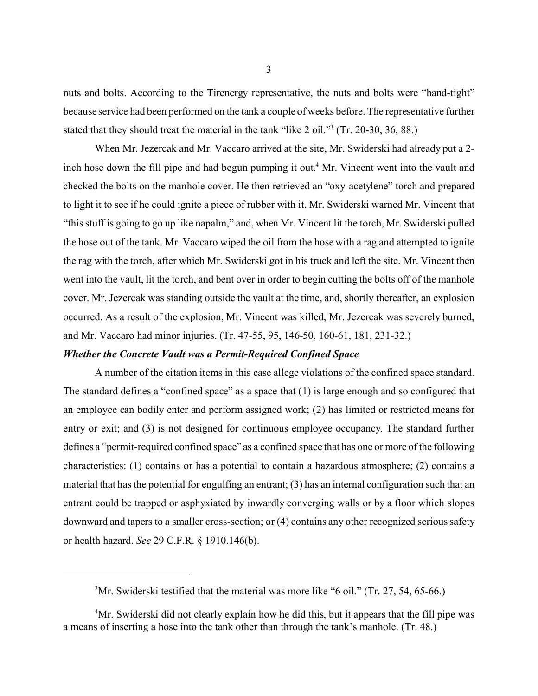nuts and bolts. According to the Tirenergy representative, the nuts and bolts were "hand-tight" because service had been performed on the tank a couple of weeks before. The representative further stated that they should treat the material in the tank "like 2 oil."<sup>3</sup> (Tr. 20-30, 36, 88.)

When Mr. Jezercak and Mr. Vaccaro arrived at the site, Mr. Swiderski had already put a 2 inch hose down the fill pipe and had begun pumping it out.<sup>4</sup> Mr. Vincent went into the vault and checked the bolts on the manhole cover. He then retrieved an "oxy-acetylene" torch and prepared to light it to see if he could ignite a piece of rubber with it. Mr. Swiderski warned Mr. Vincent that "this stuff is going to go up like napalm," and, when Mr. Vincent lit the torch, Mr. Swiderski pulled the hose out of the tank. Mr. Vaccaro wiped the oil from the hose with a rag and attempted to ignite the rag with the torch, after which Mr. Swiderski got in his truck and left the site. Mr. Vincent then went into the vault, lit the torch, and bent over in order to begin cutting the bolts off of the manhole cover. Mr. Jezercak was standing outside the vault at the time, and, shortly thereafter, an explosion occurred. As a result of the explosion, Mr. Vincent was killed, Mr. Jezercak was severely burned, and Mr. Vaccaro had minor injuries. (Tr. 47-55, 95, 146-50, 160-61, 181, 231-32.)

#### *Whether the Concrete Vault was a Permit-Required Confined Space*

A number of the citation items in this case allege violations of the confined space standard. The standard defines a "confined space" as a space that (1) is large enough and so configured that an employee can bodily enter and perform assigned work; (2) has limited or restricted means for entry or exit; and (3) is not designed for continuous employee occupancy. The standard further defines a "permit-required confined space" as a confined space that has one or more of the following characteristics: (1) contains or has a potential to contain a hazardous atmosphere; (2) contains a material that has the potential for engulfing an entrant; (3) has an internal configuration such that an entrant could be trapped or asphyxiated by inwardly converging walls or by a floor which slopes downward and tapers to a smaller cross-section; or (4) contains any other recognized serious safety or health hazard. *See* 29 C.F.R. § 1910.146(b).

 $3\text{Mr.}$  Swiderski testified that the material was more like "6 oil." (Tr. 27, 54, 65-66.)

<sup>&</sup>lt;sup>4</sup>Mr. Swiderski did not clearly explain how he did this, but it appears that the fill pipe was a means of inserting a hose into the tank other than through the tank's manhole. (Tr. 48.)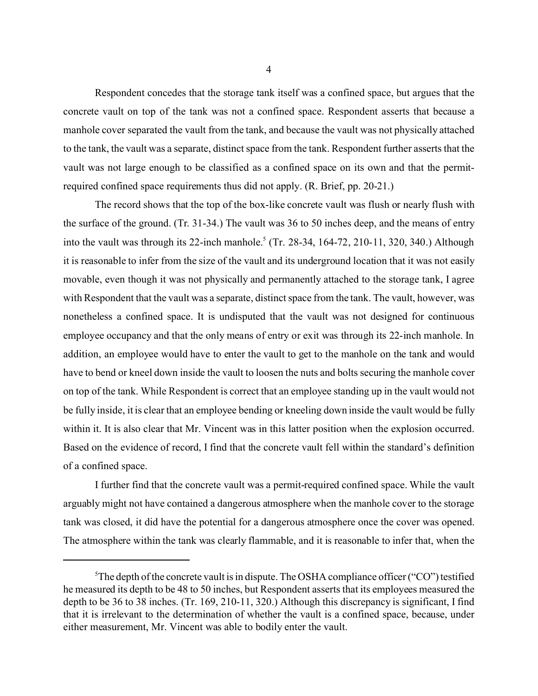Respondent concedes that the storage tank itself was a confined space, but argues that the concrete vault on top of the tank was not a confined space. Respondent asserts that because a manhole cover separated the vault from the tank, and because the vault was not physically attached to the tank, the vault was a separate, distinct space from the tank. Respondent further asserts that the vault was not large enough to be classified as a confined space on its own and that the permitrequired confined space requirements thus did not apply. (R. Brief, pp. 20-21.)

The record shows that the top of the box-like concrete vault was flush or nearly flush with the surface of the ground. (Tr. 31-34.) The vault was 36 to 50 inches deep, and the means of entry into the vault was through its 22-inch manhole.<sup>5</sup> (Tr. 28-34, 164-72, 210-11, 320, 340.) Although it is reasonable to infer from the size of the vault and its underground location that it was not easily movable, even though it was not physically and permanently attached to the storage tank, I agree with Respondent that the vault was a separate, distinct space from the tank. The vault, however, was nonetheless a confined space. It is undisputed that the vault was not designed for continuous employee occupancy and that the only means of entry or exit was through its 22-inch manhole. In addition, an employee would have to enter the vault to get to the manhole on the tank and would have to bend or kneel down inside the vault to loosen the nuts and bolts securing the manhole cover on top of the tank. While Respondent is correct that an employee standing up in the vault would not be fully inside, it is clear that an employee bending or kneeling down inside the vault would be fully within it. It is also clear that Mr. Vincent was in this latter position when the explosion occurred. Based on the evidence of record, I find that the concrete vault fell within the standard's definition of a confined space.

I further find that the concrete vault was a permit-required confined space. While the vault arguably might not have contained a dangerous atmosphere when the manhole cover to the storage tank was closed, it did have the potential for a dangerous atmosphere once the cover was opened. The atmosphere within the tank was clearly flammable, and it is reasonable to infer that, when the

<sup>&</sup>lt;sup>5</sup>The depth of the concrete vault is in dispute. The OSHA compliance officer ("CO") testified he measured its depth to be 48 to 50 inches, but Respondent asserts that its employees measured the depth to be 36 to 38 inches. (Tr. 169, 210-11, 320.) Although this discrepancy is significant, I find that it is irrelevant to the determination of whether the vault is a confined space, because, under either measurement, Mr. Vincent was able to bodily enter the vault.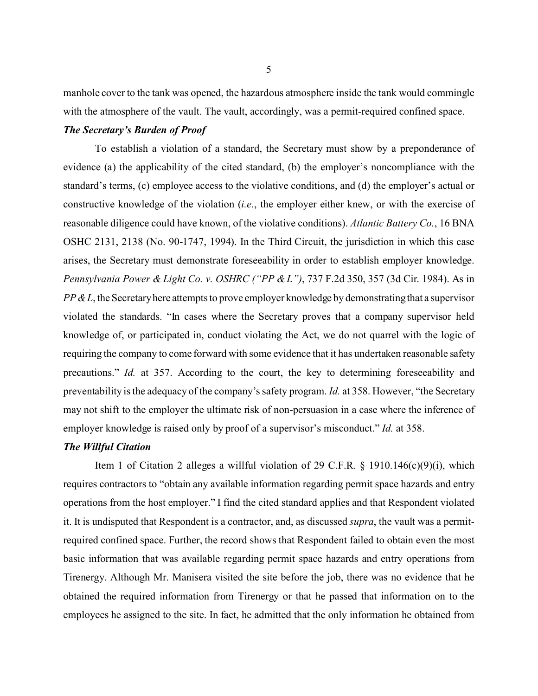manhole cover to the tank was opened, the hazardous atmosphere inside the tank would commingle with the atmosphere of the vault. The vault, accordingly, was a permit-required confined space.

## *The Secretary's Burden of Proof*

To establish a violation of a standard, the Secretary must show by a preponderance of evidence (a) the applicability of the cited standard, (b) the employer's noncompliance with the standard's terms, (c) employee access to the violative conditions, and (d) the employer's actual or constructive knowledge of the violation (*i.e.*, the employer either knew, or with the exercise of reasonable diligence could have known, of the violative conditions). *Atlantic Battery Co.*, 16 BNA OSHC 2131, 2138 (No. 90-1747, 1994). In the Third Circuit, the jurisdiction in which this case arises, the Secretary must demonstrate foreseeability in order to establish employer knowledge. *Pennsylvania Power & Light Co. v. OSHRC ("PP & L")*, 737 F.2d 350, 357 (3d Cir. 1984). As in *PP & L*, the Secretary here attempts to prove employer knowledge by demonstrating that a supervisor violated the standards. "In cases where the Secretary proves that a company supervisor held knowledge of, or participated in, conduct violating the Act, we do not quarrel with the logic of requiring the company to come forward with some evidence that it has undertaken reasonable safety precautions." *Id.* at 357. According to the court, the key to determining foreseeability and preventability is the adequacy of the company's safety program. *Id.* at 358. However, "the Secretary may not shift to the employer the ultimate risk of non-persuasion in a case where the inference of employer knowledge is raised only by proof of a supervisor's misconduct." *Id.* at 358.

### *The Willful Citation*

Item 1 of Citation 2 alleges a willful violation of 29 C.F.R. § 1910.146(c)(9)(i), which requires contractors to "obtain any available information regarding permit space hazards and entry operations from the host employer." I find the cited standard applies and that Respondent violated it. It is undisputed that Respondent is a contractor, and, as discussed *supra*, the vault was a permitrequired confined space. Further, the record shows that Respondent failed to obtain even the most basic information that was available regarding permit space hazards and entry operations from Tirenergy. Although Mr. Manisera visited the site before the job, there was no evidence that he obtained the required information from Tirenergy or that he passed that information on to the employees he assigned to the site. In fact, he admitted that the only information he obtained from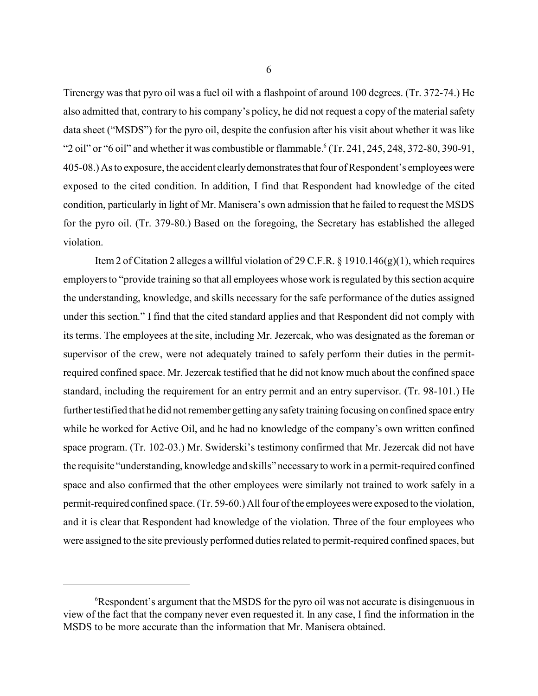Tirenergy was that pyro oil was a fuel oil with a flashpoint of around 100 degrees. (Tr. 372-74.) He also admitted that, contrary to his company's policy, he did not request a copy of the material safety data sheet ("MSDS") for the pyro oil, despite the confusion after his visit about whether it was like "2 oil" or "6 oil" and whether it was combustible or flammable.  $\frac{6}{7}$  (Tr. 241, 245, 248, 372-80, 390-91, 405-08.) As to exposure, the accident clearly demonstrates that four of Respondent's employees were exposed to the cited condition. In addition, I find that Respondent had knowledge of the cited condition, particularly in light of Mr. Manisera's own admission that he failed to request the MSDS for the pyro oil. (Tr. 379-80.) Based on the foregoing, the Secretary has established the alleged violation.

Item 2 of Citation 2 alleges a willful violation of 29 C.F.R. § 1910.146 $(g)(1)$ , which requires employers to "provide training so that all employees whose work is regulated by this section acquire the understanding, knowledge, and skills necessary for the safe performance of the duties assigned under this section." I find that the cited standard applies and that Respondent did not comply with its terms. The employees at the site, including Mr. Jezercak, who was designated as the foreman or supervisor of the crew, were not adequately trained to safely perform their duties in the permitrequired confined space. Mr. Jezercak testified that he did not know much about the confined space standard, including the requirement for an entry permit and an entry supervisor. (Tr. 98-101.) He further testified that he did not remember getting any safety training focusing on confined space entry while he worked for Active Oil, and he had no knowledge of the company's own written confined space program. (Tr. 102-03.) Mr. Swiderski's testimony confirmed that Mr. Jezercak did not have the requisite "understanding, knowledge and skills" necessary to work in a permit-required confined space and also confirmed that the other employees were similarly not trained to work safely in a permit-required confined space. (Tr. 59-60.) All four of the employees were exposed to the violation, and it is clear that Respondent had knowledge of the violation. Three of the four employees who were assigned to the site previously performed duties related to permit-required confined spaces, but

<sup>6</sup> Respondent's argument that the MSDS for the pyro oil was not accurate is disingenuous in view of the fact that the company never even requested it. In any case, I find the information in the MSDS to be more accurate than the information that Mr. Manisera obtained.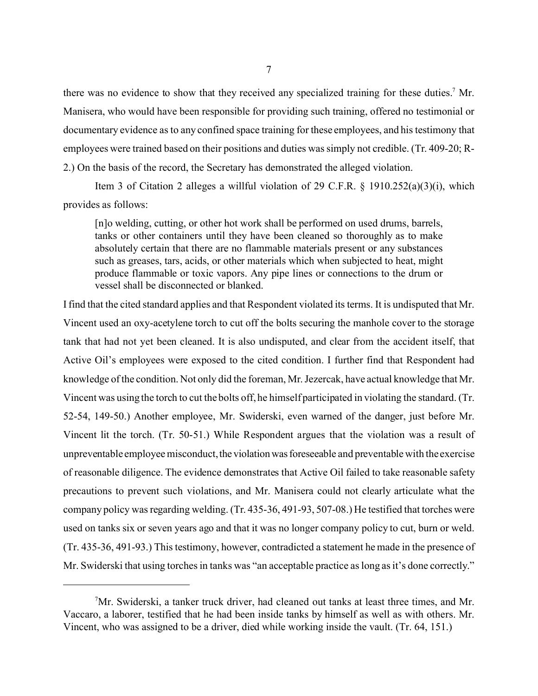there was no evidence to show that they received any specialized training for these duties.<sup>7</sup> Mr. Manisera, who would have been responsible for providing such training, offered no testimonial or documentary evidence as to any confined space training for these employees, and his testimony that employees were trained based on their positions and duties was simply not credible. (Tr. 409-20; R-2.) On the basis of the record, the Secretary has demonstrated the alleged violation.

Item 3 of Citation 2 alleges a willful violation of 29 C.F.R. § 1910.252(a)(3)(i), which provides as follows:

[n]o welding, cutting, or other hot work shall be performed on used drums, barrels, tanks or other containers until they have been cleaned so thoroughly as to make absolutely certain that there are no flammable materials present or any substances such as greases, tars, acids, or other materials which when subjected to heat, might produce flammable or toxic vapors. Any pipe lines or connections to the drum or vessel shall be disconnected or blanked.

I find that the cited standard applies and that Respondent violated its terms. It is undisputed that Mr. Vincent used an oxy-acetylene torch to cut off the bolts securing the manhole cover to the storage tank that had not yet been cleaned. It is also undisputed, and clear from the accident itself, that Active Oil's employees were exposed to the cited condition. I further find that Respondent had knowledge of the condition. Not only did the foreman, Mr. Jezercak, have actual knowledge that Mr. Vincent was using the torch to cut the bolts off, he himself participated in violating the standard. (Tr. 52-54, 149-50.) Another employee, Mr. Swiderski, even warned of the danger, just before Mr. Vincent lit the torch. (Tr. 50-51.) While Respondent argues that the violation was a result of unpreventable employee misconduct, the violation was foreseeable and preventable with the exercise of reasonable diligence. The evidence demonstrates that Active Oil failed to take reasonable safety precautions to prevent such violations, and Mr. Manisera could not clearly articulate what the company policy was regarding welding. (Tr. 435-36, 491-93, 507-08.) He testified that torches were used on tanks six or seven years ago and that it was no longer company policy to cut, burn or weld. (Tr. 435-36, 491-93.) This testimony, however, contradicted a statement he made in the presence of Mr. Swiderski that using torches in tanks was "an acceptable practice as long as it's done correctly."

<sup>7</sup> Mr. Swiderski, a tanker truck driver, had cleaned out tanks at least three times, and Mr. Vaccaro, a laborer, testified that he had been inside tanks by himself as well as with others. Mr. Vincent, who was assigned to be a driver, died while working inside the vault. (Tr. 64, 151.)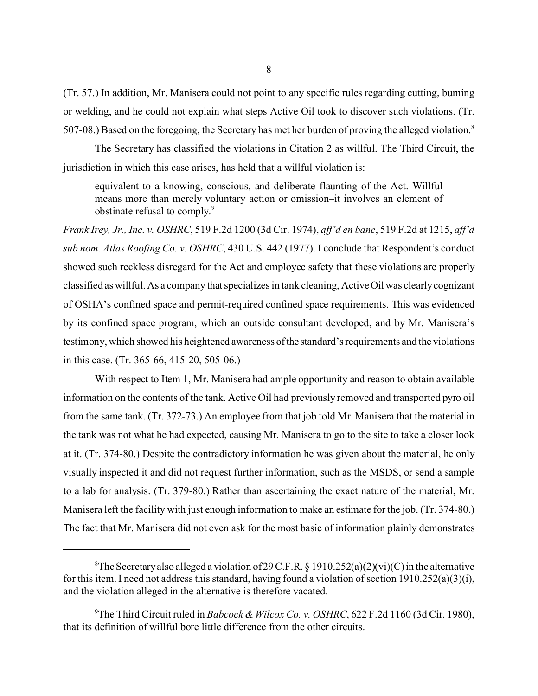(Tr. 57.) In addition, Mr. Manisera could not point to any specific rules regarding cutting, burning or welding, and he could not explain what steps Active Oil took to discover such violations. (Tr. 507-08.) Based on the foregoing, the Secretary has met her burden of proving the alleged violation.<sup>8</sup>

The Secretary has classified the violations in Citation 2 as willful. The Third Circuit, the jurisdiction in which this case arises, has held that a willful violation is:

equivalent to a knowing, conscious, and deliberate flaunting of the Act. Willful means more than merely voluntary action or omission–it involves an element of obstinate refusal to comply.<sup>9</sup>

*Frank Irey, Jr., Inc. v. OSHRC*, 519 F.2d 1200 (3d Cir. 1974), *aff'd en banc*, 519 F.2d at 1215, *aff'd sub nom. Atlas Roofing Co. v. OSHRC*, 430 U.S. 442 (1977). I conclude that Respondent's conduct showed such reckless disregard for the Act and employee safety that these violations are properly classified as willful. As a company that specializes in tank cleaning, Active Oil was clearly cognizant of OSHA's confined space and permit-required confined space requirements. This was evidenced by its confined space program, which an outside consultant developed, and by Mr. Manisera's testimony, which showed his heightened awareness ofthe standard's requirements and the violations in this case. (Tr. 365-66, 415-20, 505-06.)

With respect to Item 1, Mr. Manisera had ample opportunity and reason to obtain available information on the contents of the tank. Active Oil had previously removed and transported pyro oil from the same tank. (Tr. 372-73.) An employee from that job told Mr. Manisera that the material in the tank was not what he had expected, causing Mr. Manisera to go to the site to take a closer look at it. (Tr. 374-80.) Despite the contradictory information he was given about the material, he only visually inspected it and did not request further information, such as the MSDS, or send a sample to a lab for analysis. (Tr. 379-80.) Rather than ascertaining the exact nature of the material, Mr. Manisera left the facility with just enough information to make an estimate for the job. (Tr. 374-80.) The fact that Mr. Manisera did not even ask for the most basic of information plainly demonstrates

 ${}^8$ The Secretary also alleged a violation of 29 C.F.R. § 1910.252(a)(2)(vi)(C) in the alternative for this item. I need not address this standard, having found a violation of section 1910.252(a)(3)(i), and the violation alleged in the alternative is therefore vacated.

<sup>9</sup> The Third Circuit ruled in *Babcock & Wilcox Co. v. OSHRC*, 622 F.2d 1160 (3d Cir. 1980), that its definition of willful bore little difference from the other circuits.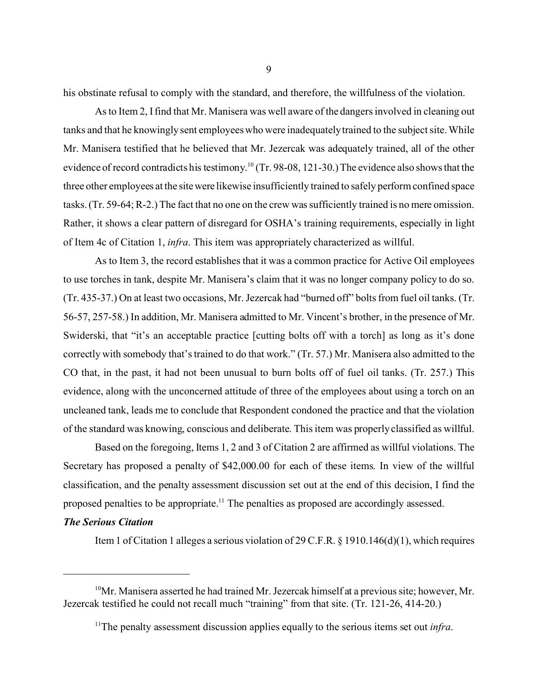his obstinate refusal to comply with the standard, and therefore, the willfulness of the violation.

As to Item 2, I find that Mr. Manisera was well aware of the dangers involved in cleaning out tanks and that he knowingly sent employees who were inadequately trained to the subject site. While Mr. Manisera testified that he believed that Mr. Jezercak was adequately trained, all of the other evidence of record contradicts his testimony.<sup>10</sup> (Tr. 98-08, 121-30.) The evidence also shows that the three other employees at the sitewere likewise insufficiently trained to safely perform confined space tasks. (Tr. 59-64; R-2.) The fact that no one on the crew was sufficiently trained is no mere omission. Rather, it shows a clear pattern of disregard for OSHA's training requirements, especially in light of Item 4c of Citation 1, *infra*. This item was appropriately characterized as willful.

As to Item 3, the record establishes that it was a common practice for Active Oil employees to use torches in tank, despite Mr. Manisera's claim that it was no longer company policy to do so. (Tr. 435-37.) On at least two occasions, Mr. Jezercak had "burned off" bolts from fuel oil tanks. (Tr. 56-57, 257-58.) In addition, Mr. Manisera admitted to Mr. Vincent's brother, in the presence of Mr. Swiderski, that "it's an acceptable practice [cutting bolts off with a torch] as long as it's done correctly with somebody that's trained to do that work." (Tr. 57.) Mr. Manisera also admitted to the CO that, in the past, it had not been unusual to burn bolts off of fuel oil tanks. (Tr. 257.) This evidence, along with the unconcerned attitude of three of the employees about using a torch on an uncleaned tank, leads me to conclude that Respondent condoned the practice and that the violation of the standard was knowing, conscious and deliberate. This item was properly classified as willful.

Based on the foregoing, Items 1, 2 and 3 of Citation 2 are affirmed as willful violations. The Secretary has proposed a penalty of \$42,000.00 for each of these items. In view of the willful classification, and the penalty assessment discussion set out at the end of this decision, I find the proposed penalties to be appropriate.<sup>11</sup> The penalties as proposed are accordingly assessed.

## *The Serious Citation*

Item 1 of Citation 1 alleges a serious violation of 29 C.F.R. § 1910.146(d)(1), which requires

 $10$ Mr. Manisera asserted he had trained Mr. Jezercak himself at a previous site; however, Mr. Jezercak testified he could not recall much "training" from that site. (Tr. 121-26, 414-20.)

<sup>11</sup>The penalty assessment discussion applies equally to the serious items set out *infra*.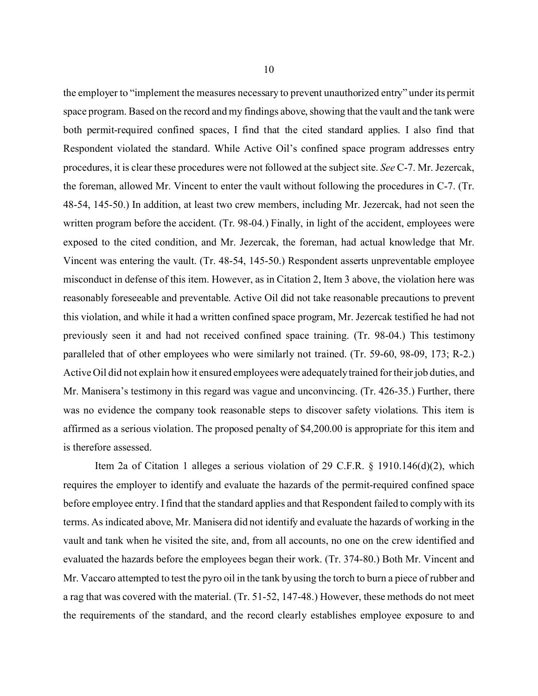the employer to "implement the measures necessary to prevent unauthorized entry" under its permit space program. Based on the record and my findings above, showing that the vault and the tank were both permit-required confined spaces, I find that the cited standard applies. I also find that Respondent violated the standard. While Active Oil's confined space program addresses entry procedures, it is clear these procedures were not followed at the subject site. *See* C-7. Mr. Jezercak, the foreman, allowed Mr. Vincent to enter the vault without following the procedures in C-7. (Tr. 48-54, 145-50.) In addition, at least two crew members, including Mr. Jezercak, had not seen the written program before the accident. (Tr. 98-04.) Finally, in light of the accident, employees were exposed to the cited condition, and Mr. Jezercak, the foreman, had actual knowledge that Mr. Vincent was entering the vault. (Tr. 48-54, 145-50.) Respondent asserts unpreventable employee misconduct in defense of this item. However, as in Citation 2, Item 3 above, the violation here was reasonably foreseeable and preventable. Active Oil did not take reasonable precautions to prevent this violation, and while it had a written confined space program, Mr. Jezercak testified he had not previously seen it and had not received confined space training. (Tr. 98-04.) This testimony paralleled that of other employees who were similarly not trained. (Tr. 59-60, 98-09, 173; R-2.) Active Oil did not explain how it ensured employees were adequately trained for their job duties, and Mr. Manisera's testimony in this regard was vague and unconvincing. (Tr. 426-35.) Further, there was no evidence the company took reasonable steps to discover safety violations. This item is affirmed as a serious violation. The proposed penalty of \$4,200.00 is appropriate for this item and is therefore assessed.

Item 2a of Citation 1 alleges a serious violation of 29 C.F.R. § 1910.146(d)(2), which requires the employer to identify and evaluate the hazards of the permit-required confined space before employee entry. I find that the standard applies and that Respondent failed to comply with its terms. As indicated above, Mr. Manisera did not identify and evaluate the hazards of working in the vault and tank when he visited the site, and, from all accounts, no one on the crew identified and evaluated the hazards before the employees began their work. (Tr. 374-80.) Both Mr. Vincent and Mr. Vaccaro attempted to test the pyro oil in the tank by using the torch to burn a piece of rubber and a rag that was covered with the material. (Tr. 51-52, 147-48.) However, these methods do not meet the requirements of the standard, and the record clearly establishes employee exposure to and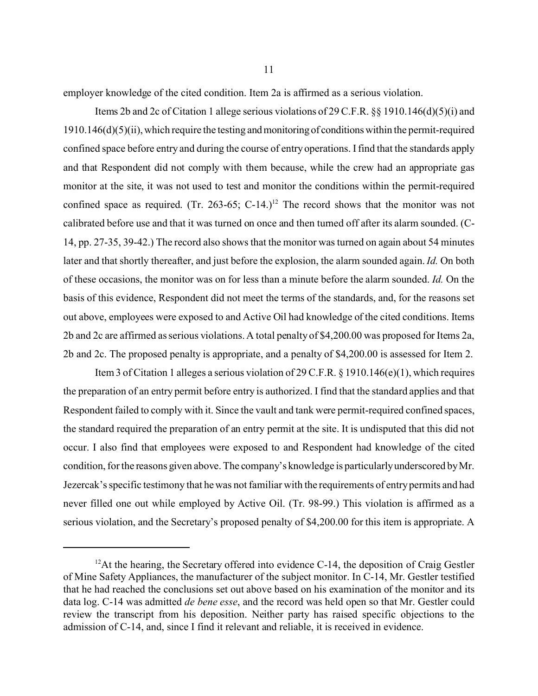employer knowledge of the cited condition. Item 2a is affirmed as a serious violation.

Items 2b and 2c of Citation 1 allege serious violations of 29 C.F.R. §§ 1910.146(d)(5)(i) and  $1910.146(d)(5)(ii)$ , which require the testing and monitoring of conditions within the permit-required confined space before entry and during the course of entry operations. I find that the standards apply and that Respondent did not comply with them because, while the crew had an appropriate gas monitor at the site, it was not used to test and monitor the conditions within the permit-required confined space as required. (Tr. 263-65; C-14.)<sup>12</sup> The record shows that the monitor was not calibrated before use and that it was turned on once and then turned off after its alarm sounded. (C-14, pp. 27-35, 39-42.) The record also shows that the monitor was turned on again about 54 minutes later and that shortly thereafter, and just before the explosion, the alarm sounded again. *Id.* On both of these occasions, the monitor was on for less than a minute before the alarm sounded. *Id.* On the basis of this evidence, Respondent did not meet the terms of the standards, and, for the reasons set out above, employees were exposed to and Active Oil had knowledge of the cited conditions. Items 2b and 2c are affirmed as serious violations. A total penalty of \$4,200.00 was proposed for Items 2a, 2b and 2c. The proposed penalty is appropriate, and a penalty of \$4,200.00 is assessed for Item 2.

Item 3 of Citation 1 alleges a serious violation of 29 C.F.R. § 1910.146(e)(1), which requires the preparation of an entry permit before entry is authorized. I find that the standard applies and that Respondent failed to comply with it. Since the vault and tank were permit-required confined spaces, the standard required the preparation of an entry permit at the site. It is undisputed that this did not occur. I also find that employees were exposed to and Respondent had knowledge of the cited condition, for the reasons given above. The company's knowledge is particularly underscored by Mr. Jezercak's specific testimony that he was not familiar with the requirements of entry permits and had never filled one out while employed by Active Oil. (Tr. 98-99.) This violation is affirmed as a serious violation, and the Secretary's proposed penalty of \$4,200.00 for this item is appropriate. A

 $12$ At the hearing, the Secretary offered into evidence C-14, the deposition of Craig Gestler of Mine Safety Appliances, the manufacturer of the subject monitor. In C-14, Mr. Gestler testified that he had reached the conclusions set out above based on his examination of the monitor and its data log. C-14 was admitted *de bene esse*, and the record was held open so that Mr. Gestler could review the transcript from his deposition. Neither party has raised specific objections to the admission of C-14, and, since I find it relevant and reliable, it is received in evidence.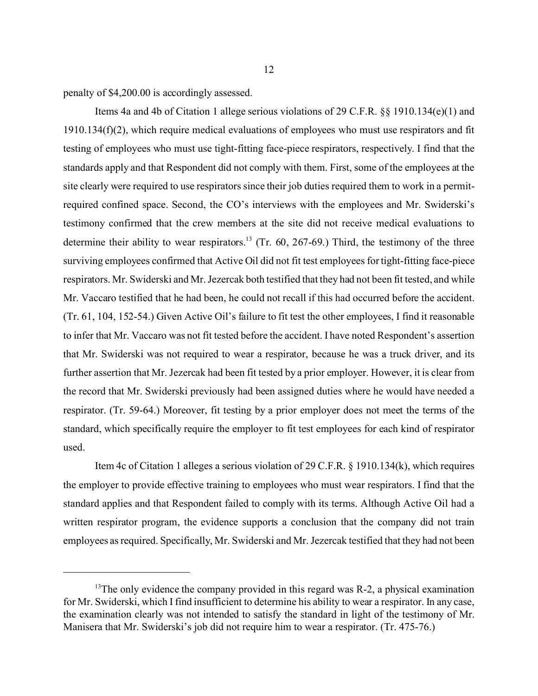penalty of \$4,200.00 is accordingly assessed.

Items 4a and 4b of Citation 1 allege serious violations of 29 C.F.R. §§ 1910.134(e)(1) and 1910.134(f)(2), which require medical evaluations of employees who must use respirators and fit testing of employees who must use tight-fitting face-piece respirators, respectively. I find that the standards apply and that Respondent did not comply with them. First, some of the employees at the site clearly were required to use respirators since their job duties required them to work in a permitrequired confined space. Second, the CO's interviews with the employees and Mr. Swiderski's testimony confirmed that the crew members at the site did not receive medical evaluations to determine their ability to wear respirators.<sup>13</sup> (Tr. 60, 267-69.) Third, the testimony of the three surviving employees confirmed that Active Oil did not fit test employees for tight-fitting face-piece respirators. Mr. Swiderski and Mr. Jezercak both testified that they had not been fit tested, and while Mr. Vaccaro testified that he had been, he could not recall if this had occurred before the accident. (Tr. 61, 104, 152-54.) Given Active Oil's failure to fit test the other employees, I find it reasonable to infer that Mr. Vaccaro was not fit tested before the accident. I have noted Respondent's assertion that Mr. Swiderski was not required to wear a respirator, because he was a truck driver, and its further assertion that Mr. Jezercak had been fit tested by a prior employer. However, it is clear from the record that Mr. Swiderski previously had been assigned duties where he would have needed a respirator. (Tr. 59-64.) Moreover, fit testing by a prior employer does not meet the terms of the standard, which specifically require the employer to fit test employees for each kind of respirator used.

Item 4c of Citation 1 alleges a serious violation of 29 C.F.R. § 1910.134(k), which requires the employer to provide effective training to employees who must wear respirators. I find that the standard applies and that Respondent failed to comply with its terms. Although Active Oil had a written respirator program, the evidence supports a conclusion that the company did not train employees as required. Specifically, Mr. Swiderski and Mr. Jezercak testified that they had not been

<sup>&</sup>lt;sup>13</sup>The only evidence the company provided in this regard was R-2, a physical examination for Mr. Swiderski, which I find insufficient to determine his ability to wear a respirator. In any case, the examination clearly was not intended to satisfy the standard in light of the testimony of Mr. Manisera that Mr. Swiderski's job did not require him to wear a respirator. (Tr. 475-76.)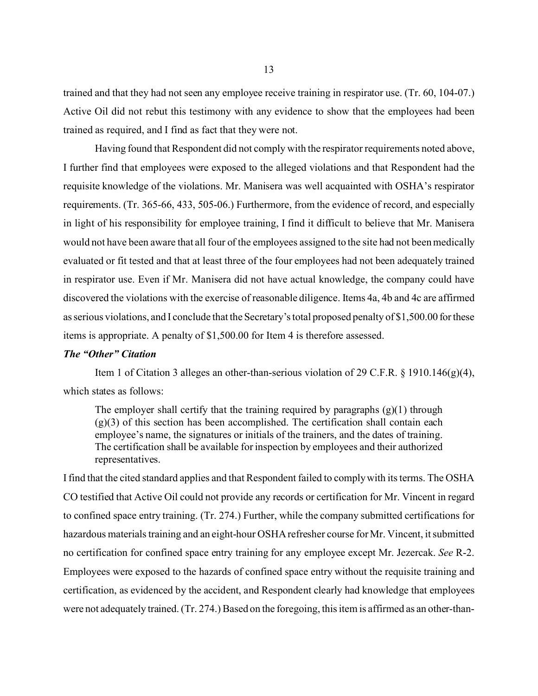trained and that they had not seen any employee receive training in respirator use. (Tr. 60, 104-07.) Active Oil did not rebut this testimony with any evidence to show that the employees had been trained as required, and I find as fact that they were not.

Having found that Respondent did not comply with the respirator requirements noted above, I further find that employees were exposed to the alleged violations and that Respondent had the requisite knowledge of the violations. Mr. Manisera was well acquainted with OSHA's respirator requirements. (Tr. 365-66, 433, 505-06.) Furthermore, from the evidence of record, and especially in light of his responsibility for employee training, I find it difficult to believe that Mr. Manisera would not have been aware that all four of the employees assigned to the site had not been medically evaluated or fit tested and that at least three of the four employees had not been adequately trained in respirator use. Even if Mr. Manisera did not have actual knowledge, the company could have discovered the violations with the exercise of reasonable diligence. Items 4a, 4b and 4c are affirmed as serious violations, and I conclude that the Secretary's total proposed penalty of \$1,500.00 for these items is appropriate. A penalty of \$1,500.00 for Item 4 is therefore assessed.

### *The "Other" Citation*

Item 1 of Citation 3 alleges an other-than-serious violation of 29 C.F.R.  $\S$  1910.146(g)(4), which states as follows:

The employer shall certify that the training required by paragraphs  $(g)(1)$  through  $(g)(3)$  of this section has been accomplished. The certification shall contain each employee's name, the signatures or initials of the trainers, and the dates of training. The certification shall be available for inspection by employees and their authorized representatives.

I find that the cited standard applies and that Respondent failed to comply with its terms. The OSHA CO testified that Active Oil could not provide any records or certification for Mr. Vincent in regard to confined space entry training. (Tr. 274.) Further, while the company submitted certifications for hazardous materials training and an eight-hour OSHA refresher course for Mr. Vincent, it submitted no certification for confined space entry training for any employee except Mr. Jezercak. *See* R-2. Employees were exposed to the hazards of confined space entry without the requisite training and certification, as evidenced by the accident, and Respondent clearly had knowledge that employees were not adequately trained. (Tr. 274.) Based on the foregoing, this item is affirmed as an other-than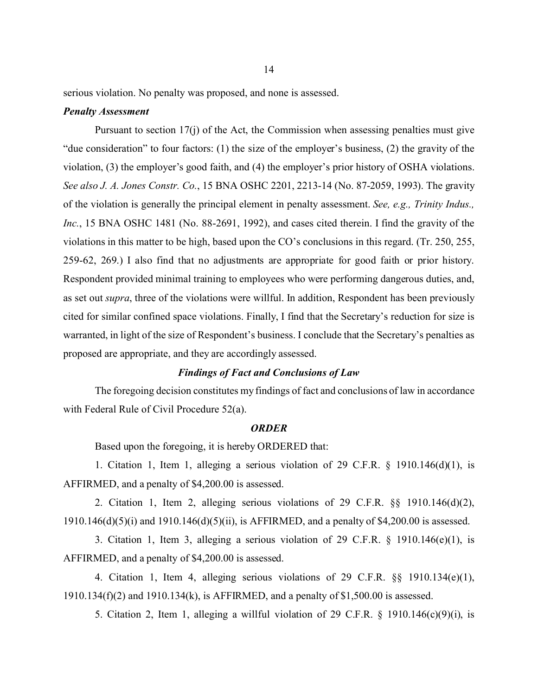serious violation. No penalty was proposed, and none is assessed.

#### *Penalty Assessment*

Pursuant to section 17(j) of the Act, the Commission when assessing penalties must give "due consideration" to four factors: (1) the size of the employer's business, (2) the gravity of the violation, (3) the employer's good faith, and (4) the employer's prior history of OSHA violations. *See also J. A. Jones Constr. Co.*, 15 BNA OSHC 2201, 2213-14 (No. 87-2059, 1993). The gravity of the violation is generally the principal element in penalty assessment. *See, e.g., Trinity Indus., Inc.*, 15 BNA OSHC 1481 (No. 88-2691, 1992), and cases cited therein. I find the gravity of the violations in this matter to be high, based upon the CO's conclusions in this regard. (Tr. 250, 255, 259-62, 269.) I also find that no adjustments are appropriate for good faith or prior history. Respondent provided minimal training to employees who were performing dangerous duties, and, as set out *supra*, three of the violations were willful. In addition, Respondent has been previously cited for similar confined space violations. Finally, I find that the Secretary's reduction for size is warranted, in light of the size of Respondent's business. I conclude that the Secretary's penalties as proposed are appropriate, and they are accordingly assessed.

## *Findings of Fact and Conclusions of Law*

The foregoing decision constitutes my findings of fact and conclusions of law in accordance with Federal Rule of Civil Procedure 52(a).

#### *ORDER*

Based upon the foregoing, it is hereby ORDERED that:

1. Citation 1, Item 1, alleging a serious violation of 29 C.F.R. § 1910.146(d)(1), is AFFIRMED, and a penalty of \$4,200.00 is assessed.

2. Citation 1, Item 2, alleging serious violations of 29 C.F.R. §§ 1910.146(d)(2), 1910.146(d)(5)(i) and 1910.146(d)(5)(ii), is AFFIRMED, and a penalty of \$4,200.00 is assessed.

3. Citation 1, Item 3, alleging a serious violation of 29 C.F.R. § 1910.146(e)(1), is AFFIRMED, and a penalty of \$4,200.00 is assessed.

4. Citation 1, Item 4, alleging serious violations of 29 C.F.R. §§ 1910.134(e)(1), 1910.134(f)(2) and 1910.134(k), is AFFIRMED, and a penalty of \$1,500.00 is assessed.

5. Citation 2, Item 1, alleging a willful violation of 29 C.F.R.  $\S$  1910.146(c)(9)(i), is